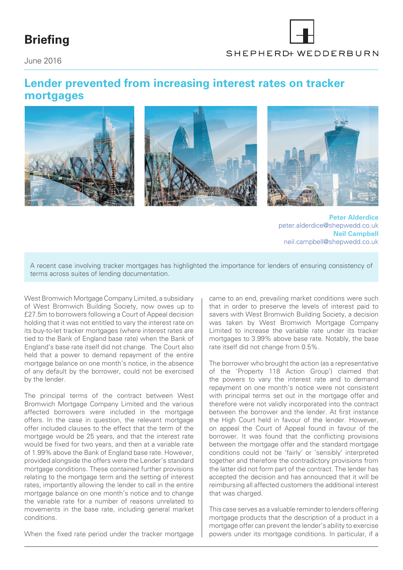## **Briefing**

SHEPHERD+ WEDDERBURN

June 2016

## **Lender prevented from increasing interest rates on tracker mortgages**



**Peter Alderdice** [peter.alderdice@shepwedd.co.uk](mailto:peter.alderdice%40shepwedd.co.uk?subject=) **Neil Campbell** [neil.campbell@shepwedd.co.uk](mailto:neil.campbell%40shepwedd.co.uk?subject=)

A recent case involving tracker mortgages has highlighted the importance for lenders of ensuring consistency of terms across suites of lending documentation.

West Bromwich Mortgage Company Limited, a subsidiary of West Bromwich Building Society, now owes up to £27.5m to borrowers following a Court of Appeal decision holding that it was not entitled to vary the interest rate on its buy-to-let tracker mortgages (where interest rates are tied to the Bank of England base rate) when the Bank of England's base rate itself did not change. The Court also held that a power to demand repayment of the entire mortgage balance on one month's notice, in the absence of any default by the borrower, could not be exercised by the lender.

The principal terms of the contract between West Bromwich Mortgage Company Limited and the various affected borrowers were included in the mortgage offers. In the case in question, the relevant mortgage offer included clauses to the effect that the term of the mortgage would be 25 years, and that the interest rate would be fixed for two years, and then at a variable rate of 1.99% above the Bank of England base rate. However, provided alongside the offers were the Lender's standard mortgage conditions. These contained further provisions relating to the mortgage term and the setting of interest rates, importantly allowing the lender to call in the entire mortgage balance on one month's notice and to change the variable rate for a number of reasons unrelated to movements in the base rate, including general market conditions.

When the fixed rate period under the tracker mortgage

came to an end, prevailing market conditions were such that in order to preserve the levels of interest paid to savers with West Bromwich Building Society, a decision was taken by West Bromwich Mortgage Company Limited to increase the variable rate under its tracker mortgages to 3.99% above base rate. Notably, the base rate itself did not change from 0.5%.

The borrower who brought the action (as a representative of the 'Property 118 Action Group') claimed that the powers to vary the interest rate and to demand repayment on one month's notice were not consistent with principal terms set out in the mortgage offer and therefore were not validly incorporated into the contract between the borrower and the lender. At first instance the High Court held in favour of the lender. However, on appeal the Court of Appeal found in favour of the borrower. It was found that the conflicting provisions between the mortgage offer and the standard mortgage conditions could not be 'fairly' or 'sensibly' interpreted together and therefore the contradictory provisions from the latter did not form part of the contract. The lender has accepted the decision and has announced that it will be reimbursing all affected customers the additional interest that was charged.

This case serves as a valuable reminder to lenders offering mortgage products that the description of a product in a mortgage offer can prevent the lender's ability to exercise powers under its mortgage conditions. In particular, if a